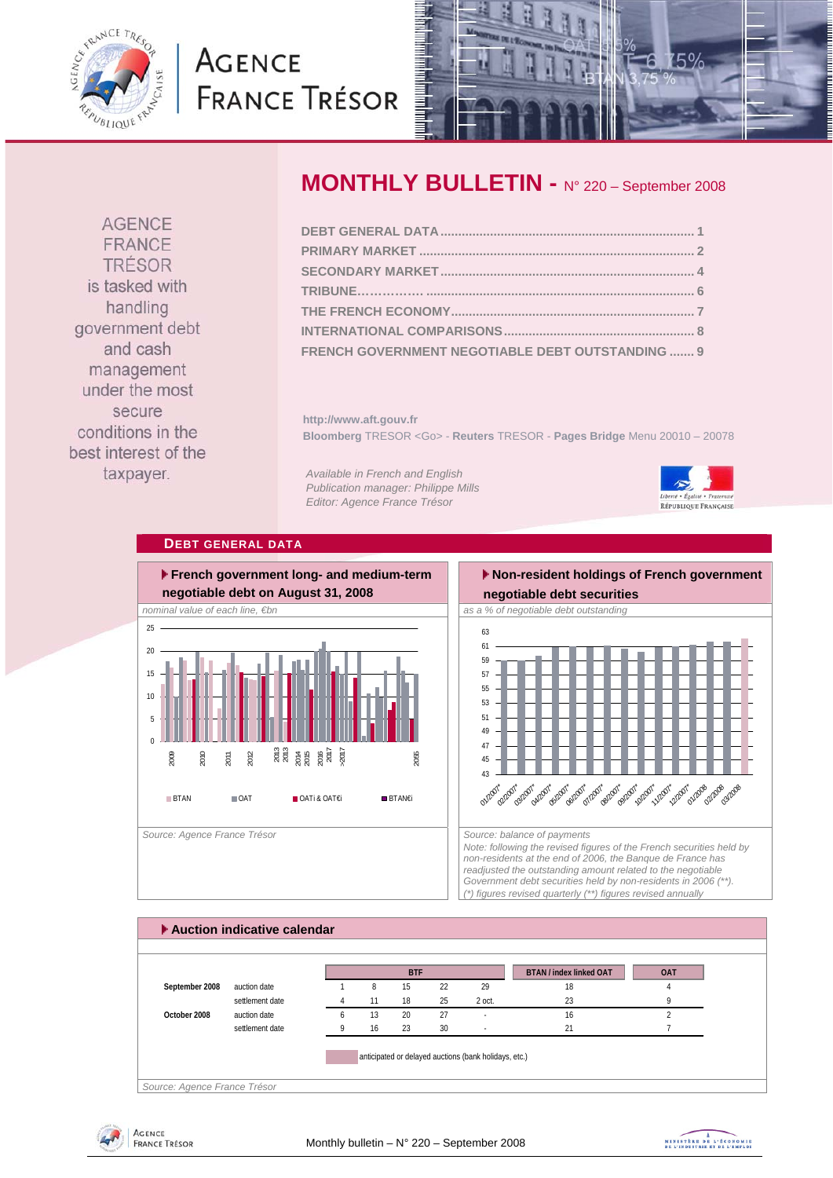<span id="page-0-0"></span>

# **AGENCE FRANCE TRÉSOR**



**AGENCE** FRANCE TRÉSOR is tasked with handling government debt and cash management under the most secure conditions in the best interest of the taxpayer.

# **MONTHLY BULLETIN -** N° 220 – September 2008

| FRENCH GOVERNMENT NEGOTIABLE DEBT OUTSTANDING  9 |  |
|--------------------------------------------------|--|

**http://www.aft.gouv.fr Bloomberg** TRESOR <Go> - **Reuters** TRESOR - **Pages Bridge** Menu 20010 – 20078

*Available in French and English Publication manager: Philippe Mills Editor: Agence France Trésor* 



### **DEBT GENERAL DATA**



# **Non-resident holdings of French government**



*Note: following the revised figures of the French securities held by non-residents at the end of 2006, the Banque de France has readjusted the outstanding amount related to the negotiable Government debt securities held by non-residents in 2006 (\*\*). (\*) figures revised quarterly (\*\*) figures revised annually* 

### **Auction indicative calendar**  *Source: Agence France Trésor*  **BTAN / index linked OAT OAT September 2008** auction date 1 8 15 22 29 18 18 4 settlement date **4** 11 18 25 2 oct. 23 9 9 **October 2008** auction date 6 13 20 27 - 16 16 2 settlement date **9** 16 23 30 - 21 21 7 anticipated or delayed auctions (bank holidays, etc.) **BTF**



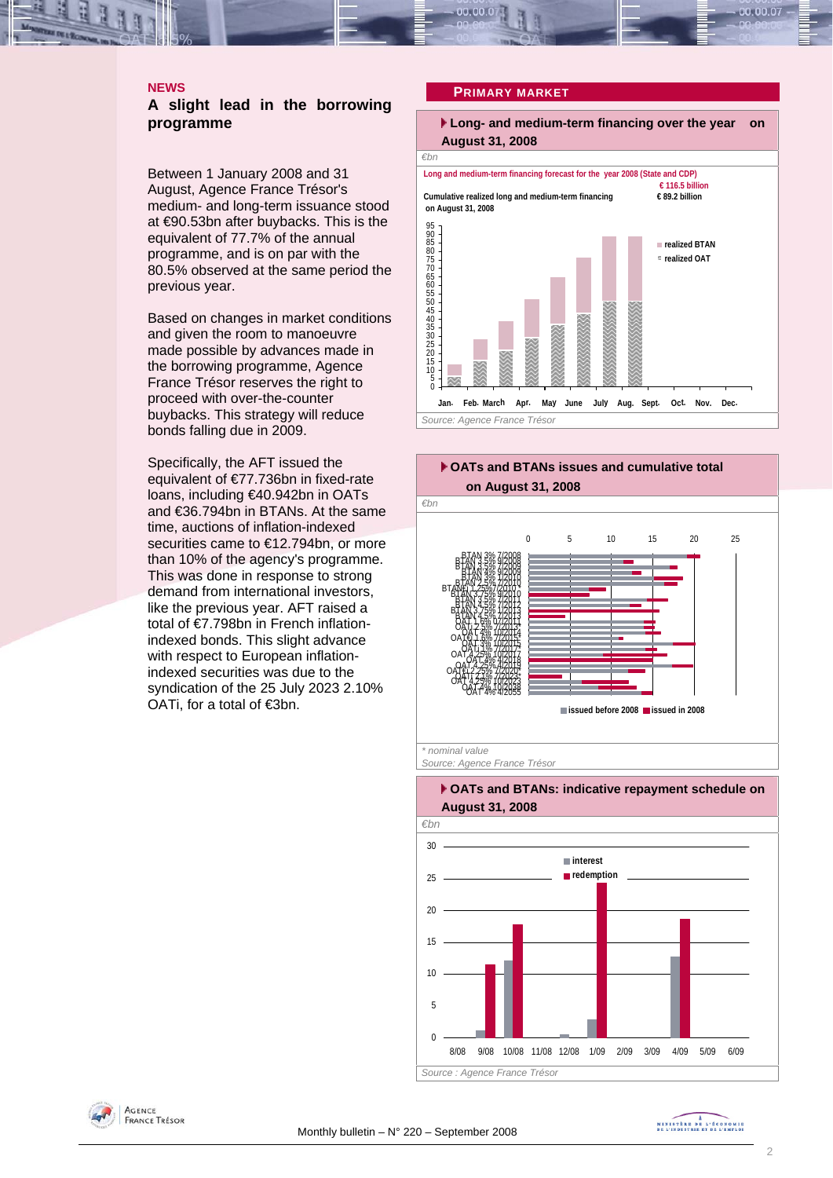#### <span id="page-1-0"></span>**NEWS**

#### **A slight lead in the borrowing programme**

Between 1 January 2008 and 31 August, Agence France Trésor's medium- and long-term issuance stood at €90.53bn after buybacks. This is the equivalent of 77.7% of the annual programme, and is on par with the 80.5% observed at the same period the previous year.

Based on changes in market conditions and given the room to manoeuvre made possible by advances made in the borrowing programme, Agence France Trésor reserves the right to proceed with over-the-counter buybacks. This strategy will reduce bonds falling due in 2009.

Specifically, the AFT issued the equivalent of €77.736bn in fixed-rate loans, including €40.942bn in OATs and €36.794bn in BTANs. At the same time, auctions of inflation-indexed securities came to €12.794bn, or more than 10% of the agency's programme. This was done in response to strong demand from international investors, like the previous year. AFT raised a total of €7.798bn in French inflationindexed bonds. This slight advance with respect to European inflationindexed securities was due to the syndication of the 25 July 2023 2.10% OATi, for a total of €3bn.

#### **PRIMARY MARKET**





### *€bn*   $\Omega$ 5 10 15  $\overline{20}$  $25$ 30 8/08 9/08 10/08 11/08 12/08 1/09 2/09 3/09 4/09 5/09 6/09 **interest redemption** *Source : Agence France Trésor*

#### **OATs and BTANs: indicative repayment schedule on August 31, 2008**



MINISTRE DE L'ÉCONOMIE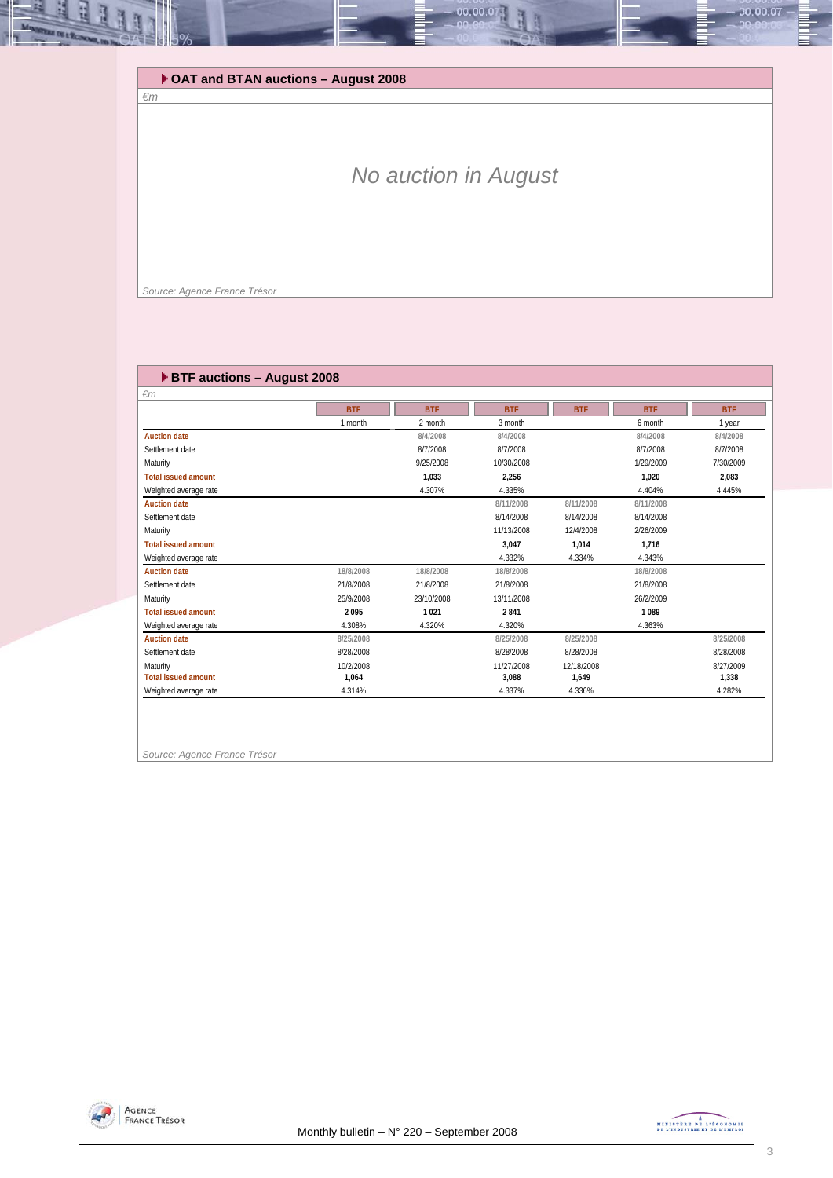### **OAT and BTAN auctions – August 2008**

# *No auction in August*

00.00.0

 *Source: Agence France Trésor* 

*€m* 

E

#### **BTF auctions – August 2008**

| $\epsilon$ m               |            |            |            |            |            |            |
|----------------------------|------------|------------|------------|------------|------------|------------|
|                            | <b>BTF</b> | <b>BTF</b> | <b>BTF</b> | <b>BTF</b> | <b>BTF</b> | <b>BTF</b> |
|                            | 1 month    | 2 month    | 3 month    |            | 6 month    | 1 year     |
| <b>Auction date</b>        |            | 8/4/2008   | 8/4/2008   |            | 8/4/2008   | 8/4/2008   |
| Settlement date            |            | 8/7/2008   | 8/7/2008   |            | 8/7/2008   | 8/7/2008   |
| Maturity                   |            | 9/25/2008  | 10/30/2008 |            | 1/29/2009  | 7/30/2009  |
| <b>Total issued amount</b> |            | 1.033      | 2.256      |            | 1.020      | 2.083      |
| Weighted average rate      |            | 4.307%     | 4.335%     |            | 4.404%     | 4.445%     |
| <b>Auction date</b>        |            |            | 8/11/2008  | 8/11/2008  | 8/11/2008  |            |
| Settlement date            |            |            | 8/14/2008  | 8/14/2008  | 8/14/2008  |            |
| Maturity                   |            |            | 11/13/2008 | 12/4/2008  | 2/26/2009  |            |
| <b>Total issued amount</b> |            |            | 3.047      | 1.014      | 1.716      |            |
| Weighted average rate      |            |            | 4.332%     | 4.334%     | 4.343%     |            |
| <b>Auction date</b>        | 18/8/2008  | 18/8/2008  | 18/8/2008  |            | 18/8/2008  |            |
| Settlement date            | 21/8/2008  | 21/8/2008  | 21/8/2008  |            | 21/8/2008  |            |
| Maturity                   | 25/9/2008  | 23/10/2008 | 13/11/2008 |            | 26/2/2009  |            |
| <b>Total issued amount</b> | 2095       | 1021       | 2841       |            | 1089       |            |
| Weighted average rate      | 4.308%     | 4.320%     | 4.320%     |            | 4.363%     |            |
| <b>Auction date</b>        | 8/25/2008  |            | 8/25/2008  | 8/25/2008  |            | 8/25/2008  |
| Settlement date            | 8/28/2008  |            | 8/28/2008  | 8/28/2008  |            | 8/28/2008  |
| Maturity                   | 10/2/2008  |            | 11/27/2008 | 12/18/2008 |            | 8/27/2009  |
| <b>Total issued amount</b> | 1,064      |            | 3,088      | 1,649      |            | 1,338      |
| Weighted average rate      | 4.314%     |            | 4.337%     | 4.336%     |            | 4.282%     |

*Source: Agence France Trésor* 



00.00.07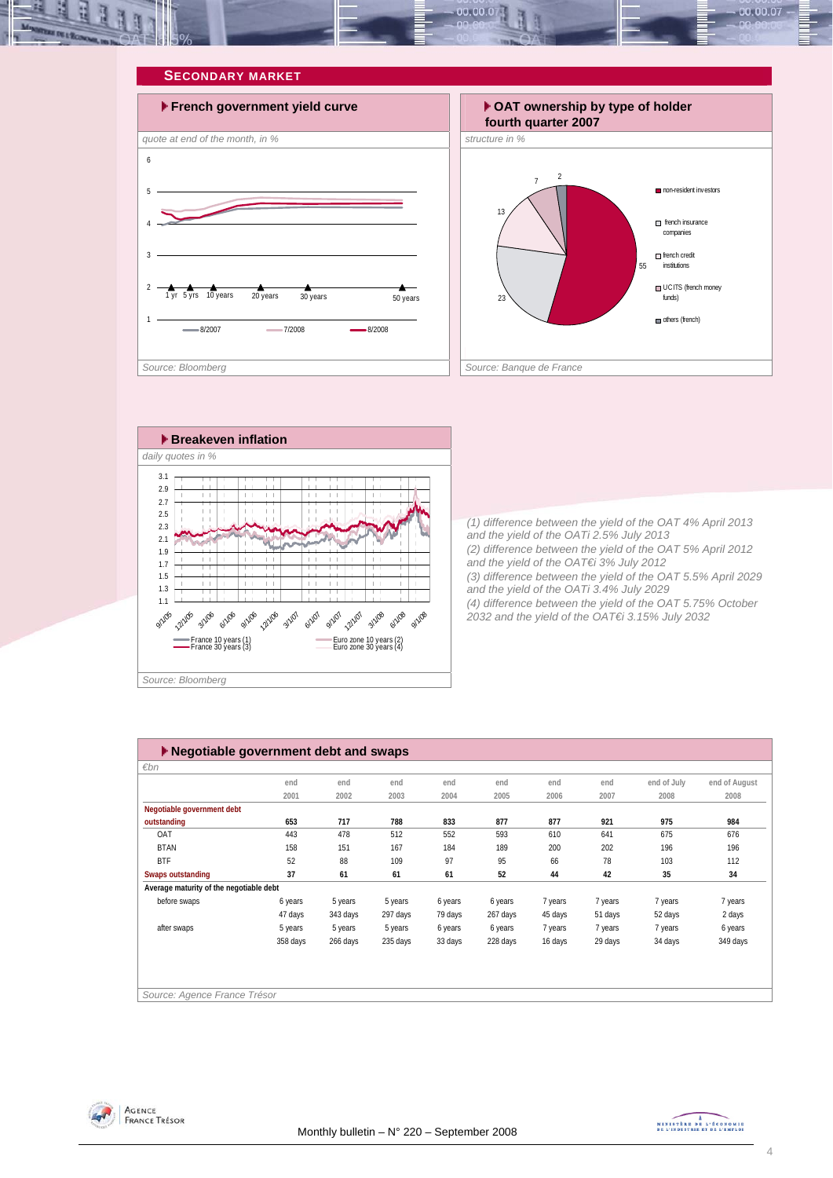<span id="page-3-0"></span>







*(1) difference between the yield of the OAT 4% April 2013 and the yield of the OATi 2.5% July 2013 (2) difference between the yield of the OAT 5% April 2012 and the yield of the OAT€i 3% July 2012 (3) difference between the yield of the OAT 5.5% April 2029 and the yield of the OATi 3.4% July 2029 (4) difference between the yield of the OAT 5.75% October 2032 and the yield of the OAT€i 3.15% July 2032* 

| $\blacktriangleright$ Negotiable government debt and swaps |          |          |          |         |          |         |         |             |               |  |
|------------------------------------------------------------|----------|----------|----------|---------|----------|---------|---------|-------------|---------------|--|
| $\varepsilon$ bn                                           |          |          |          |         |          |         |         |             |               |  |
|                                                            | end      | end      | end      | end     | end      | end     | end     | end of July | end of August |  |
|                                                            | 2001     | 2002     | 2003     | 2004    | 2005     | 2006    | 2007    | 2008        | 2008          |  |
| Negotiable government debt                                 |          |          |          |         |          |         |         |             |               |  |
| outstanding                                                | 653      | 717      | 788      | 833     | 877      | 877     | 921     | 975         | 984           |  |
| OAT                                                        | 443      | 478      | 512      | 552     | 593      | 610     | 641     | 675         | 676           |  |
| <b>BTAN</b>                                                | 158      | 151      | 167      | 184     | 189      | 200     | 202     | 196         | 196           |  |
| <b>BTF</b>                                                 | 52       | 88       | 109      | 97      | 95       | 66      | 78      | 103         | 112           |  |
| <b>Swaps outstanding</b>                                   | 37       | 61       | 61       | 61      | 52       | 44      | 42      | 35          | 34            |  |
| Average maturity of the negotiable debt                    |          |          |          |         |          |         |         |             |               |  |
| before swaps                                               | 6 years  | 5 years  | 5 years  | 6 years | 6 years  | 7 years | 7 years | 7 years     | 7 years       |  |
|                                                            | 47 days  | 343 days | 297 days | 79 days | 267 days | 45 days | 51 days | 52 days     | 2 days        |  |
| after swaps                                                | 5 years  | 5 years  | 5 years  | 6 years | 6 years  | 7 years | 7 years | 7 years     | 6 years       |  |
|                                                            | 358 days | 266 days | 235 days | 33 days | 228 days | 16 days | 29 days | 34 days     | 349 days      |  |
|                                                            |          |          |          |         |          |         |         |             |               |  |
|                                                            |          |          |          |         |          |         |         |             |               |  |
|                                                            |          |          |          |         |          |         |         |             |               |  |
| Source: Agence France Trésor                               |          |          |          |         |          |         |         |             |               |  |



MINISTRE DE L'ÉCONOMIE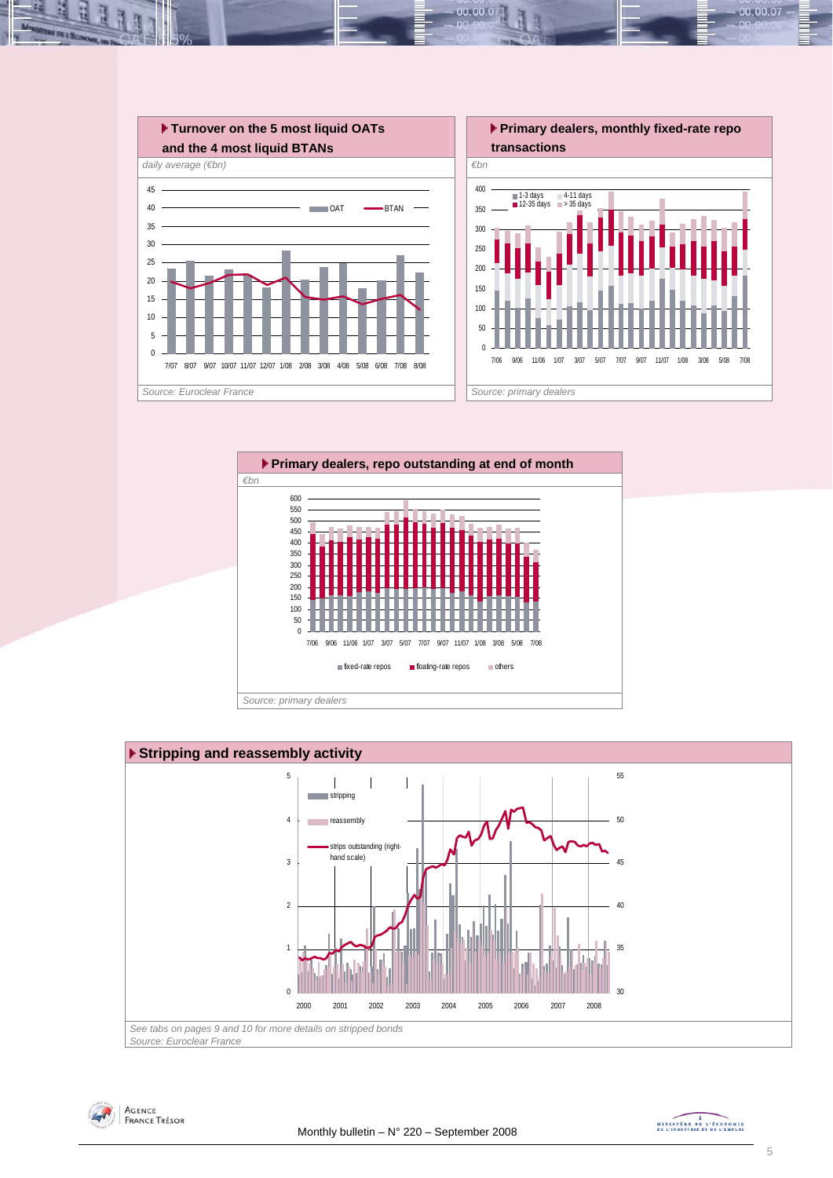

 $00.00.0$ 







MINISTRE DE L'ÉCONOMIE

00.00.07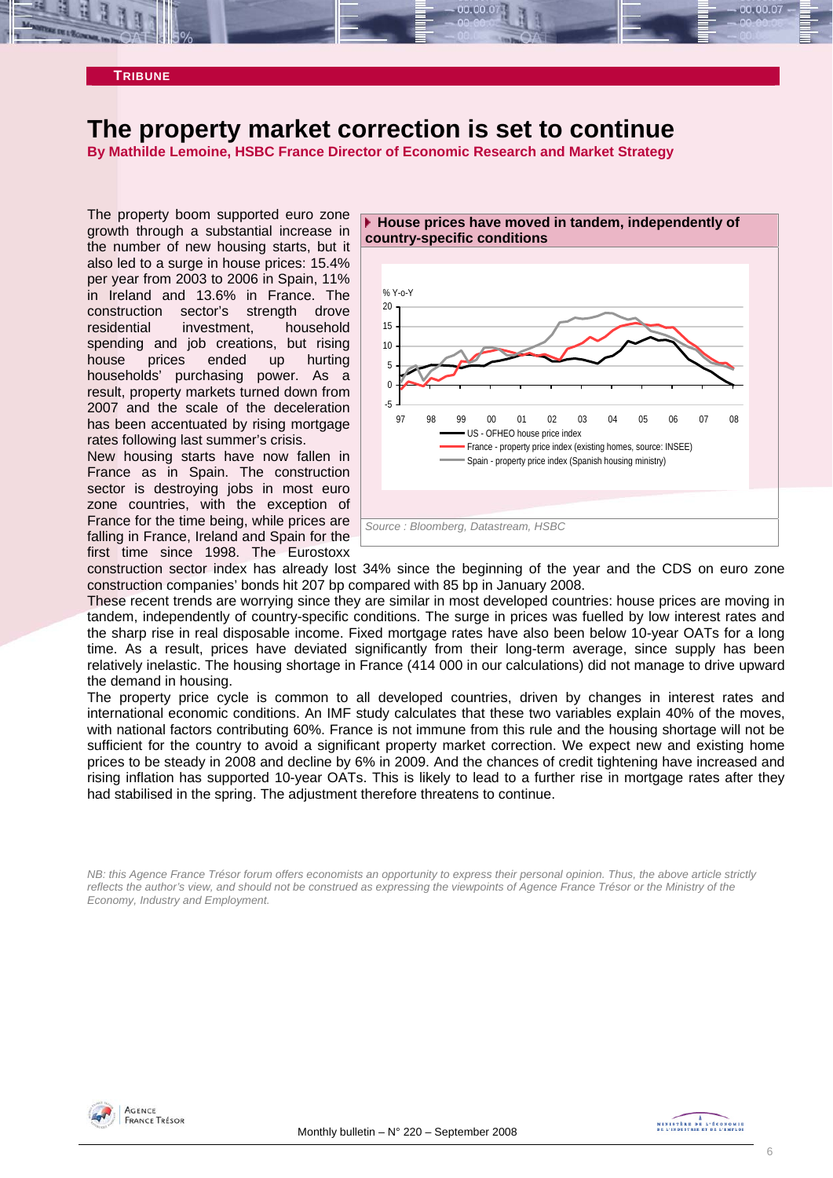#### <span id="page-5-0"></span>**TRIBUNE**

# **The property market correction is set to continue**

**By Mathilde Lemoine, HSBC France Director of Economic Research and Market Strategy** 

The property boom supported euro zone growth through a substantial increase in the number of new housing starts, but it also led to a surge in house prices: 15.4% per year from 2003 to 2006 in Spain, 11% in Ireland and 13.6% in France. The construction sector's strength drove residential investment, household spending and job creations, but rising house prices ended up hurting households' purchasing power. As a result, property markets turned down from 2007 and the scale of the deceleration has been accentuated by rising mortgage rates following last summer's crisis.

New housing starts have now fallen in France as in Spain. The construction sector is destroying jobs in most euro zone countries, with the exception of France for the time being, while prices are falling in France, Ireland and Spain for the first time since 1998. The Eurostoxx



construction sector index has already lost 34% since the beginning of the year and the CDS on euro zone construction companies' bonds hit 207 bp compared with 85 bp in January 2008.

These recent trends are worrying since they are similar in most developed countries: house prices are moving in tandem, independently of country-specific conditions. The surge in prices was fuelled by low interest rates and the sharp rise in real disposable income. Fixed mortgage rates have also been below 10-year OATs for a long time. As a result, prices have deviated significantly from their long-term average, since supply has been relatively inelastic. The housing shortage in France (414 000 in our calculations) did not manage to drive upward the demand in housing.

The property price cycle is common to all developed countries, driven by changes in interest rates and international economic conditions. An IMF study calculates that these two variables explain 40% of the moves, with national factors contributing 60%. France is not immune from this rule and the housing shortage will not be sufficient for the country to avoid a significant property market correction. We expect new and existing home prices to be steady in 2008 and decline by 6% in 2009. And the chances of credit tightening have increased and rising inflation has supported 10-year OATs. This is likely to lead to a further rise in mortgage rates after they had stabilised in the spring. The adjustment therefore threatens to continue.

*NB: this Agence France Trésor forum offers economists an opportunity to express their personal opinion. Thus, the above article strictly reflects the author's view, and should not be construed as expressing the viewpoints of Agence France Trésor or the Ministry of the Economy, Industry and Employment.* 



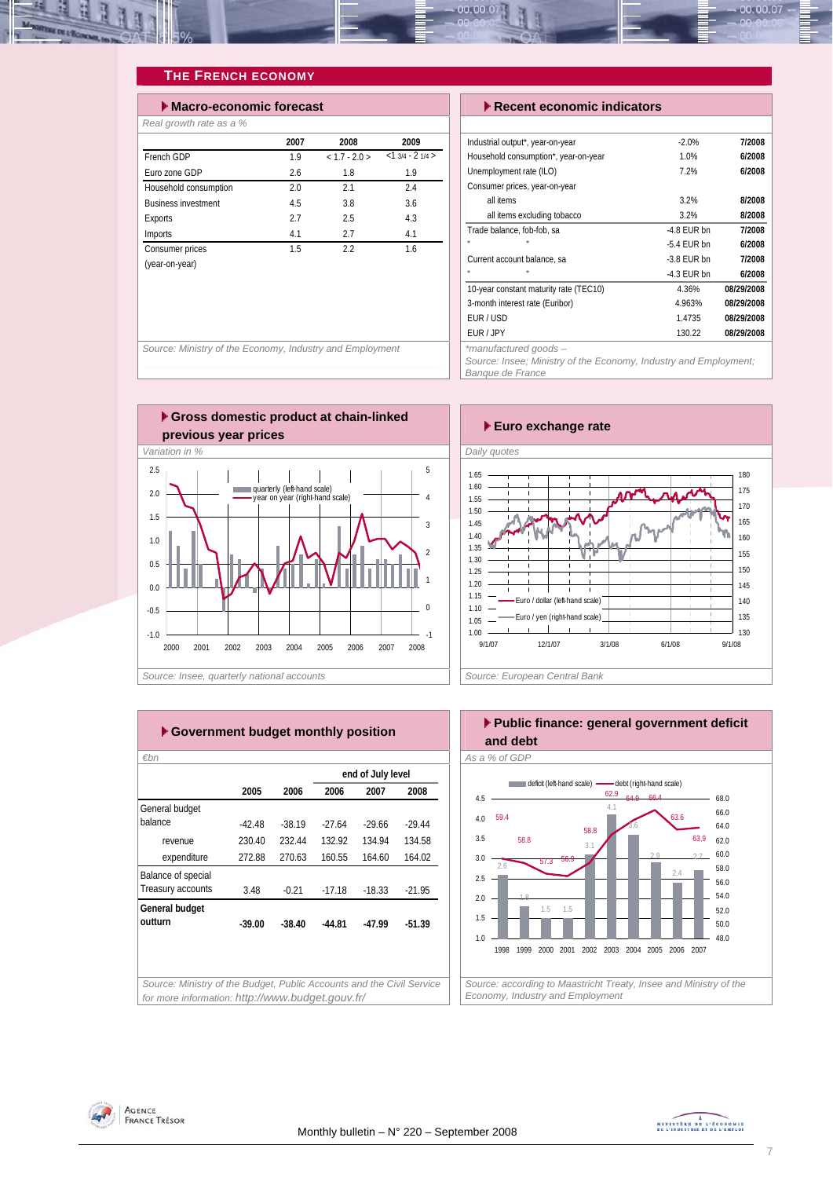<span id="page-6-0"></span>

### **THE FRENCH ECONOMY**

| $\blacktriangleright$ Macro-economic forecast |      |               |                  |  |  |  |  |  |
|-----------------------------------------------|------|---------------|------------------|--|--|--|--|--|
| Real growth rate as a %                       |      |               |                  |  |  |  |  |  |
|                                               | 2007 | 2008          | 2009             |  |  |  |  |  |
| French GDP                                    | 1.9  | $< 1.7 - 2.0$ | $<13/4 - 21/4 >$ |  |  |  |  |  |
| Furo zone GDP                                 | 2.6  | 1.8           | 1.9              |  |  |  |  |  |
| Household consumption                         | 2.0  | 21            | 2.4              |  |  |  |  |  |
| <b>Business investment</b>                    | 4.5  | 3.8           | 3.6              |  |  |  |  |  |
| Exports                                       | 2.7  | 2.5           | 4.3              |  |  |  |  |  |
| Imports                                       | 4.1  | 2.7           | 4.1              |  |  |  |  |  |
| Consumer prices                               | 1.5  | 2.2           | 1.6              |  |  |  |  |  |
| (year-on-year)                                |      |               |                  |  |  |  |  |  |
|                                               |      |               |                  |  |  |  |  |  |

#### **Execent economic indicators**

| Industrial output*, year-on-year       | $-2.0%$       | 7/2008     |
|----------------------------------------|---------------|------------|
| Household consumption*, year-on-year   | 1.0%          | 6/2008     |
| Unemployment rate (ILO)                | 7.2%          | 6/2008     |
| Consumer prices, year-on-year          |               |            |
| all items                              | 3.2%          | 8/2008     |
| all items excluding tobacco            | 3.2%          | 8/2008     |
| Trade balance, fob-fob, sa             | $-4.8$ FUR bn | 7/2008     |
| $\mathbf{u}$<br>$\mathbf{u}$           | $-5.4$ FUR bn | 6/2008     |
| Current account balance, sa            | $-3.8$ FUR bn | 7/2008     |
| $\mathbf{u}$<br>$\mathbf{u}$           | $-4.3$ FUR bn | 6/2008     |
| 10-year constant maturity rate (TEC10) | 4.36%         | 08/29/2008 |
| 3-month interest rate (Euribor)        | 4.963%        | 08/29/2008 |
| EUR/USD                                | 1.4735        | 08/29/2008 |
| FUR / JPY                              | 130.22        | 08/29/2008 |
| alla con-                              |               |            |

*Source: Ministry of the Economy, Industry and Employment \*manufactured goods –* 

*Source: Insee; Ministry of the Economy, Industry and Employment; Banque de France* 







| 2005     | 2006     | 2006     | 2007     | 2008              |
|----------|----------|----------|----------|-------------------|
|          |          |          |          |                   |
| $-42.48$ | $-38.19$ | $-27.64$ | $-29.66$ | $-29.44$          |
| 230.40   | 232.44   | 132.92   | 134.94   | 134.58            |
| 272.88   | 270.63   | 160.55   | 164.60   | 164.02            |
|          |          |          |          |                   |
| 3.48     | $-0.21$  | $-17.18$ | $-18.33$ | $-21.95$          |
|          |          |          |          |                   |
| $-39.00$ | $-38.40$ | $-44.81$ | $-47.99$ | $-51.39$          |
|          |          |          |          |                   |
|          |          |          |          |                   |
|          |          |          |          | end of July level |



2.4

48.0 50.0 52.0 54.0 56.0

*Source: according to Maastricht Treaty, Insee and Ministry of the* 

1998 1999 2000 2001 2002 2003 2004 2005 2006 2007

*Economy, Industry and Employment* 

1.5 1.5

1.8

1.0 1.5 2.0 2.5



7

AGENCE **FRANCE TRÉSOR**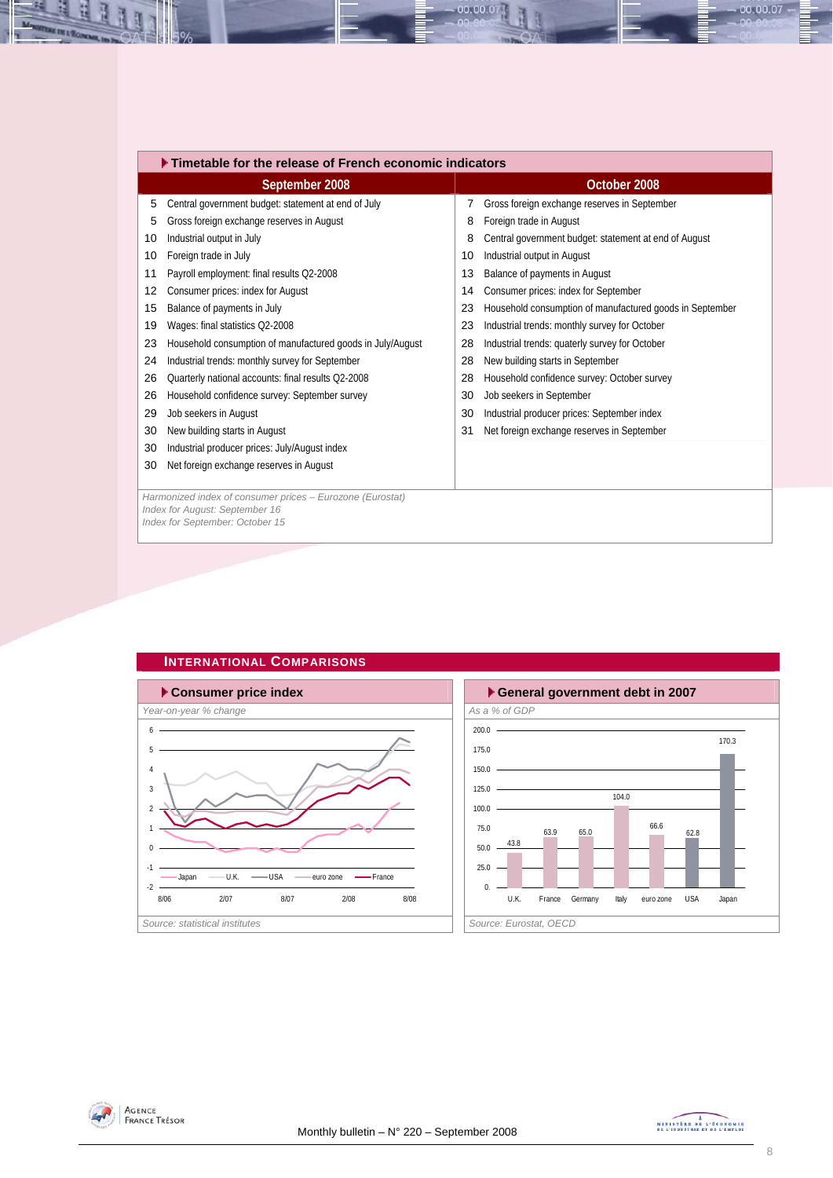|    | Timetable for the release of French economic indicators                                     |    |                                                          |  |  |  |  |  |  |
|----|---------------------------------------------------------------------------------------------|----|----------------------------------------------------------|--|--|--|--|--|--|
|    | September 2008                                                                              |    | October 2008                                             |  |  |  |  |  |  |
| 5  | Central government budget: statement at end of July                                         | 7  | Gross foreign exchange reserves in September             |  |  |  |  |  |  |
| 5  | Gross foreign exchange reserves in August                                                   | 8  | Foreign trade in August                                  |  |  |  |  |  |  |
| 10 | Industrial output in July                                                                   | 8  | Central government budget: statement at end of August    |  |  |  |  |  |  |
| 10 | Foreign trade in July                                                                       | 10 | Industrial output in August                              |  |  |  |  |  |  |
| 11 | Payroll employment: final results Q2-2008                                                   | 13 | Balance of payments in August                            |  |  |  |  |  |  |
| 12 | Consumer prices: index for August                                                           | 14 | Consumer prices: index for September                     |  |  |  |  |  |  |
| 15 | Balance of payments in July                                                                 | 23 | Household consumption of manufactured goods in September |  |  |  |  |  |  |
| 19 | Wages: final statistics Q2-2008                                                             | 23 | Industrial trends: monthly survey for October            |  |  |  |  |  |  |
| 23 | Household consumption of manufactured goods in July/August                                  | 28 | Industrial trends: quaterly survey for October           |  |  |  |  |  |  |
| 24 | Industrial trends: monthly survey for September                                             | 28 | New building starts in September                         |  |  |  |  |  |  |
| 26 | Quarterly national accounts: final results Q2-2008                                          | 28 | Household confidence survey: October survey              |  |  |  |  |  |  |
| 26 | Household confidence survey: September survey                                               | 30 | Job seekers in September                                 |  |  |  |  |  |  |
| 29 | Job seekers in August                                                                       | 30 | Industrial producer prices: September index              |  |  |  |  |  |  |
| 30 | New building starts in August                                                               | 31 | Net foreign exchange reserves in September               |  |  |  |  |  |  |
| 30 | Industrial producer prices: July/August index                                               |    |                                                          |  |  |  |  |  |  |
| 30 | Net foreign exchange reserves in August                                                     |    |                                                          |  |  |  |  |  |  |
|    |                                                                                             |    |                                                          |  |  |  |  |  |  |
|    | Harmonized index of consumer prices - Eurozone (Eurostat)<br>Index for August: September 16 |    |                                                          |  |  |  |  |  |  |
|    | Index for September: October 15                                                             |    |                                                          |  |  |  |  |  |  |
|    |                                                                                             |    |                                                          |  |  |  |  |  |  |

00.00.07







<span id="page-7-0"></span>졕 ų

B



 $-00.00.07 -$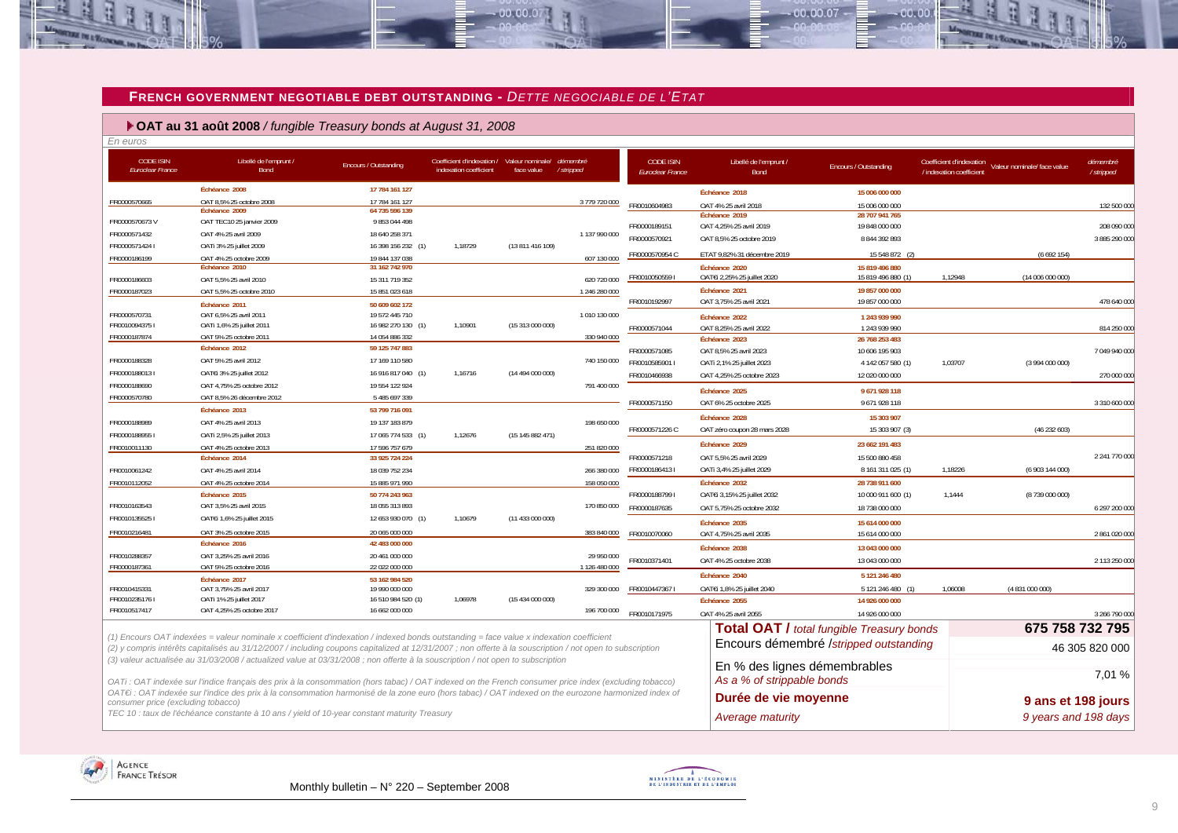#### **FRENCH GOVERNMENT NEGOTIABLE DEBT OUTSTANDING -** *DETTE NEGOCIABLE DE L'ETAT*

 $-00,00,07$ 

#### **OAT au 31 août 2008** */ fungible Treasury bonds at August 31, 2008*

÷

生地

**REIN L'ECONOMIA** 

| En euros                                    |                                                                                                                                                           |                                  |                                                      |                                |                       |                                      |                                          |                                                  |                                                      |                             |                       |
|---------------------------------------------|-----------------------------------------------------------------------------------------------------------------------------------------------------------|----------------------------------|------------------------------------------------------|--------------------------------|-----------------------|--------------------------------------|------------------------------------------|--------------------------------------------------|------------------------------------------------------|-----------------------------|-----------------------|
| <b>CODE ISIN</b><br><b>Euroclear France</b> | Libellé de l'emprunt /<br>Bond                                                                                                                            | Encours / Outstanding            | Coefficient d'indexation /<br>indexation coefficient | Valeur nominale/<br>face value | démembré<br>/stripped | <b>CODE ISIN</b><br>Euroclear France | Libellé de l'emprunt /<br>Bond           | Encours / Outstanding                            | Coefficient d'indexation<br>/ indexation coefficient | Valeur nominale/ face value | démembré<br>/stripped |
|                                             | Échéance 2008                                                                                                                                             | 17 784 161 127                   |                                                      |                                |                       |                                      | Échéance 2018                            | 15 006 000 000                                   |                                                      |                             |                       |
| FR0000570665                                | OAT 8,5% 25 octobre 2008                                                                                                                                  | 17 784 161 127                   |                                                      |                                | 3779720000            | FR0010604983                         | OAT 4% 25 avril 2018                     | 15 006 000 000                                   |                                                      |                             | 132 500 000           |
|                                             | Échéance 2009                                                                                                                                             | 64 735 596 139                   |                                                      |                                |                       |                                      | Échéance 2019                            | 28 707 941 765                                   |                                                      |                             |                       |
| FR0000570673V                               | OAT TEC10 25 janvier 2009                                                                                                                                 | 9 853 044 498                    |                                                      |                                |                       | FR0000189151                         | OAT 4,25% 25 avril 2019                  | 19 848 000 000                                   |                                                      |                             | 208 090 000           |
| FR0000571432                                | OAT 4% 25 avril 2009                                                                                                                                      | 18 640 258 371                   |                                                      |                                | 1137990000            | FR0000570921                         | OAT 8,5% 25 octobre 2019                 | 8 844 392 893                                    |                                                      |                             | 3 885 290 000         |
| FR00005714241                               | OATi 3% 25 juillet 2009                                                                                                                                   | 16 398 156 232 (1)               | 1,18729                                              | (13 811 416 109)               |                       | FR0000570954 C                       | ETAT 9,82% 31 décembre 2019              | 15 548 872 (2)                                   |                                                      | (6692154)                   |                       |
| FR0000186199                                | OAT 4% 25 octobre 2009                                                                                                                                    | 19 844 137 038                   |                                                      |                                | 607 130 000           |                                      | Échéance 2020                            | 15 819 496 880                                   |                                                      |                             |                       |
|                                             | Échéance 2010                                                                                                                                             | 31 162 742 970                   |                                                      |                                | 620 720 000           | FR00100505591                        | OATEi 2,25% 25 juillet 2020              | 15 819 496 880 (1)                               | 1,12948                                              | (14 006 000 000)            |                       |
| FR0000186603<br>FR0000187023                | OAT 5.5% 25 avril 2010                                                                                                                                    | 15 311 719 352                   |                                                      |                                |                       |                                      | Échéance 2021                            | 19 857 000 000                                   |                                                      |                             |                       |
|                                             | OAT 5,5% 25 octobre 2010                                                                                                                                  | 15 851 023 618                   |                                                      |                                | 1 246 280 000         | FR0010192997                         | OAT 3,75% 25 avril 2021                  | 19 857 000 000                                   |                                                      |                             | 478 640 000           |
| FR0000570731                                | Échéance 2011<br>OAT 6,5% 25 avril 2011                                                                                                                   | 50 609 602 172<br>19 572 445 710 |                                                      |                                | 1 010 130 000         |                                      |                                          |                                                  |                                                      |                             |                       |
| FR00100943751                               | OATi 1,6% 25 juillet 2011                                                                                                                                 | 16 982 270 130 (1)               | 1,10901                                              | (15 313 000 000)               |                       |                                      | Échéance 2022                            | 1 243 939 990                                    |                                                      |                             |                       |
| FR0000187874                                | OAT 5% 25 octobre 2011                                                                                                                                    | 14 054 886 332                   |                                                      |                                | 330 940 000           | FR0000571044                         | OAT 8,25% 25 avril 2022<br>Échéance 2023 | 1 243 939 990<br>26 768 253 483                  |                                                      |                             | 814 250 000           |
|                                             | Échéance 2012                                                                                                                                             | 59 125 747 883                   |                                                      |                                |                       | FR0000571085                         | OAT 8,5% 25 avril 2023                   | 10 606 195 903                                   |                                                      |                             | 7 049 940 000         |
| FR0000188328                                | OAT 5% 25 avril 2012                                                                                                                                      | 17 169 110 580                   |                                                      |                                | 740 150 000           | FR0010585901                         | OATi 2,1% 25 juillet 2023                | 4 142 057 580 (1)                                | 1,03707                                              | (3994000000)                |                       |
| FR00001880131                               | OAT€i 3% 25 juillet 2012                                                                                                                                  | 16 916 817 040 (1)               | 1,16716                                              | (14 494 000 000)               |                       | FR0010466938                         | OAT 4,25% 25 octobre 2023                | 12 020 000 000                                   |                                                      |                             | 270 000 000           |
| FR0000188690                                | OAT 4,75% 25 octobre 2012                                                                                                                                 | 19 554 122 924                   |                                                      |                                | 791 400 000           |                                      |                                          |                                                  |                                                      |                             |                       |
| FR0000570780                                | OAT 8,5% 26 décembre 2012                                                                                                                                 | 5 485 697 339                    |                                                      |                                |                       |                                      | Échéance 2025                            | 9671928118                                       |                                                      |                             |                       |
|                                             | Échéance 2013                                                                                                                                             | 53 799 716 091                   |                                                      |                                |                       | FR0000571150                         | OAT 6% 25 octobre 2025                   | 9671928118                                       |                                                      |                             | 3 310 600 000         |
| FR0000188989                                | OAT 4% 25 avril 2013                                                                                                                                      | 19 137 183 879                   |                                                      |                                | 198 650 000           |                                      | Échéance 2028                            | 15 303 907                                       |                                                      |                             |                       |
| FR00001889551                               | OATi 2,5% 25 juillet 2013                                                                                                                                 | 17 065 774 533 (1)               | 1,12676                                              | (15 145 882 471)               |                       | FR0000571226 C                       | OAT zéro coupon 28 mars 2028             | 15 303 907 (3)                                   |                                                      | (46 232 603)                |                       |
| FR0010011130                                | OAT 4% 25 octobre 2013                                                                                                                                    | 17 596 757 679                   |                                                      |                                | 251 820 000           |                                      | Échéance 2029                            | 23 662 191 483                                   |                                                      |                             |                       |
|                                             | Échéance 2014                                                                                                                                             | 33 925 724 224                   |                                                      |                                |                       | FR0000571218                         | OAT 5.5% 25 avril 2029                   | 15 500 880 458                                   |                                                      |                             | 2 241 770 000         |
| FR0010061242                                | OAT 4% 25 avril 2014                                                                                                                                      | 18 039 752 234                   |                                                      |                                | 266 380 000           | FR00001864131                        | OATi 3,4% 25 juillet 2029                | 8 161 311 025 (1)                                | 1,18226                                              | (6 903 144 000)             |                       |
| FR0010112052                                | OAT 4% 25 octobre 2014                                                                                                                                    | 15 885 971 990                   |                                                      |                                | 158 050 000           |                                      | Échéance 2032                            | 28 738 911 600                                   |                                                      |                             |                       |
|                                             | Échéance 2015                                                                                                                                             | 50 774 243 963                   |                                                      |                                |                       | FR00001887991                        | OATEi 3,15% 25 juillet 2032              | 10 000 911 600 (1)                               | 1,1444                                               | (8739 000 000)              |                       |
| FR0010163543                                | OAT 3,5% 25 avril 2015                                                                                                                                    | 18 055 313 893                   |                                                      |                                | 170 850 000           | FR0000187635                         | OAT 5,75% 25 octobre 2032                | 18 738 000 000                                   |                                                      |                             | 6 297 200 000         |
| FR0010135525                                | OAT€i 1,6% 25 juillet 2015                                                                                                                                | 12 653 930 070 (1)               | 1,10679                                              | (11 433 000 000)               |                       |                                      |                                          |                                                  |                                                      |                             |                       |
| FR0010216481                                | OAT 3% 25 octobre 2015                                                                                                                                    | 20 065 000 000                   |                                                      |                                | 383 840 000           |                                      | Échéance 2035                            | 15 614 000 000                                   |                                                      |                             |                       |
|                                             | Échéance 2016                                                                                                                                             | 42 483 000 000                   |                                                      |                                |                       | FR0010070060                         | OAT 4,75% 25 avril 2035                  | 15 614 000 000                                   |                                                      |                             | 2 861 020 000         |
| FR0010288357                                | OAT 3,25% 25 avril 2016                                                                                                                                   | 20 461 000 000                   |                                                      |                                | 29 950 000            |                                      | Échéance 2038                            | 13 043 000 000                                   |                                                      |                             |                       |
| FR0000187361                                | OAT 5% 25 octobre 2016                                                                                                                                    | 22 022 000 000                   |                                                      |                                | 1 126 480 000         | FR0010371401                         | OAT 4% 25 octobre 2038                   | 13 043 000 000                                   |                                                      |                             | 2 113 250 000         |
|                                             | Échéance 2017                                                                                                                                             | 53 162 984 520                   |                                                      |                                |                       |                                      | Échéance 2040                            | 5 121 246 480                                    |                                                      |                             |                       |
| FR0010415331                                | OAT 3,75% 25 avril 2017                                                                                                                                   | 19 990 000 000                   |                                                      |                                | 329 300 000           | FR00104473671                        | OATEi 1,8% 25 juillet 2040               | 5 121 246 480 (1)                                | 1,06008                                              | (4 831 000 000)             |                       |
| FR0010235176                                | OATi 1% 25 juillet 2017                                                                                                                                   | 16 510 984 520 (1)               | 1,06978                                              | (15 434 000 000)               |                       |                                      | Échéance 2055                            | 14 926 000 000                                   |                                                      |                             |                       |
| FR0010517417                                | OAT 4,25% 25 octobre 2017                                                                                                                                 | 16 662 000 000                   |                                                      |                                | 196 700 000           | FR0010171975                         | OAT 4% 25 avril 2055                     | 14 926 000 000                                   |                                                      |                             | 3 266 790 000         |
|                                             |                                                                                                                                                           |                                  |                                                      |                                |                       |                                      |                                          | <b>Total OAT / total fungible Treasury bonds</b> |                                                      |                             | 675 758 732 795       |
|                                             | (1) Encours OAT indexées = valeur nominale x coefficient d'indexation / indexed bonds outstanding = face value x indexation coefficient                   |                                  |                                                      |                                |                       |                                      |                                          |                                                  |                                                      |                             |                       |
|                                             | (2) y compris intérêts capitalisés au 31/12/2007 / including coupons capitalized at 12/31/2007 ; non offerte à la souscription / not open to subscription |                                  |                                                      |                                |                       |                                      |                                          | Encours démembré /stripped outstanding           |                                                      |                             | 46 305 820 000        |
|                                             | (3) valeur actualisée au 31/03/2008 / actualized value at 03/31/2008; non offerte à la souscription / not open to subscription                            |                                  |                                                      |                                |                       |                                      | En % des lignes démembrables             |                                                  |                                                      |                             |                       |
|                                             |                                                                                                                                                           |                                  |                                                      |                                |                       |                                      |                                          |                                                  |                                                      |                             | 7,01 %                |
|                                             | OATi: OAT indexée sur l'indice français des prix à la consommation (hors tabac) / OAT indexed on the French consumer price index (excluding tobacco)      |                                  |                                                      |                                |                       |                                      | As a % of strippable bonds               |                                                  |                                                      |                             |                       |
| consumer price (excluding tobacco)          | OAT€i : OAT indexée sur l'indice des prix à la consommation harmonisé de la zone euro (hors tabac) / OAT indexed on the eurozone harmonized index of      |                                  |                                                      |                                |                       |                                      | Durée de vie moyenne                     |                                                  |                                                      |                             | 9 ans et 198 jours    |

TEC 10 : taux de l'échéance constante à 10 ans / yield of 10-year constant maturity Treasury **Average maturity Average maturity 9 years and 198 days** 

<span id="page-8-0"></span>AGENCE<br>France Trésor

MINISTREE DE L'ÉCONOMIE





 $-00,00,07$ 

00.00.